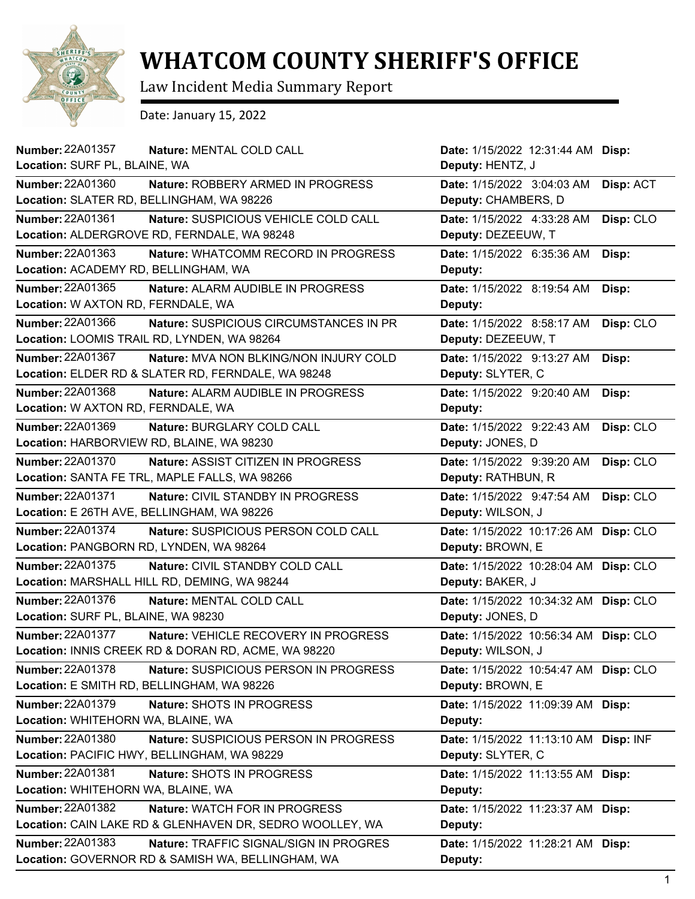

## **WHATCOM COUNTY SHERIFF'S OFFICE**

Law Incident Media Summary Report

Date: January 15, 2022

| Number: 22A01357<br>Nature: MENTAL COLD CALL                             | Date: 1/15/2022 12:31:44 AM Disp:     |           |
|--------------------------------------------------------------------------|---------------------------------------|-----------|
| Location: SURF PL, BLAINE, WA                                            | Deputy: HENTZ, J                      |           |
| Number: 22A01360<br>Nature: ROBBERY ARMED IN PROGRESS                    | Date: 1/15/2022 3:04:03 AM            | Disp: ACT |
| Location: SLATER RD, BELLINGHAM, WA 98226                                | Deputy: CHAMBERS, D                   |           |
| Number: 22A01361<br>Nature: SUSPICIOUS VEHICLE COLD CALL                 | Date: 1/15/2022 4:33:28 AM            | Disp: CLO |
| Location: ALDERGROVE RD, FERNDALE, WA 98248                              | Deputy: DEZEEUW, T                    |           |
| <b>Number: 22A01363</b><br>Nature: WHATCOMM RECORD IN PROGRESS           | Date: 1/15/2022 6:35:36 AM            | Disp:     |
| Location: ACADEMY RD, BELLINGHAM, WA                                     | Deputy:                               |           |
| Number: 22A01365<br>Nature: ALARM AUDIBLE IN PROGRESS                    | Date: 1/15/2022 8:19:54 AM            | Disp:     |
| Location: W AXTON RD, FERNDALE, WA                                       | Deputy:                               |           |
| Number: 22A01366<br>Nature: SUSPICIOUS CIRCUMSTANCES IN PR               | Date: 1/15/2022 8:58:17 AM            | Disp: CLO |
| Location: LOOMIS TRAIL RD, LYNDEN, WA 98264                              | Deputy: DEZEEUW, T                    |           |
| <b>Number: 22A01367</b><br><b>Nature: MVA NON BLKING/NON INJURY COLD</b> | Date: 1/15/2022 9:13:27 AM            | Disp:     |
| Location: ELDER RD & SLATER RD, FERNDALE, WA 98248                       | Deputy: SLYTER, C                     |           |
| Number: 22A01368<br>Nature: ALARM AUDIBLE IN PROGRESS                    | Date: 1/15/2022 9:20:40 AM            | Disp:     |
| Location: W AXTON RD, FERNDALE, WA                                       | Deputy:                               |           |
| Number: 22A01369<br>Nature: BURGLARY COLD CALL                           | Date: 1/15/2022 9:22:43 AM            | Disp: CLO |
| Location: HARBORVIEW RD, BLAINE, WA 98230                                | Deputy: JONES, D                      |           |
| <b>Number: 22A01370</b><br>Nature: ASSIST CITIZEN IN PROGRESS            | Date: 1/15/2022 9:39:20 AM            | Disp: CLO |
| Location: SANTA FE TRL, MAPLE FALLS, WA 98266                            | Deputy: RATHBUN, R                    |           |
| <b>Number: 22A01371</b><br><b>Nature: CIVIL STANDBY IN PROGRESS</b>      | Date: 1/15/2022 9:47:54 AM            | Disp: CLO |
| Location: E 26TH AVE, BELLINGHAM, WA 98226                               | Deputy: WILSON, J                     |           |
| <b>Number: 22A01374</b><br>Nature: SUSPICIOUS PERSON COLD CALL           | Date: 1/15/2022 10:17:26 AM           | Disp: CLO |
| Location: PANGBORN RD, LYNDEN, WA 98264                                  | Deputy: BROWN, E                      |           |
| <b>Number: 22A01375</b><br>Nature: CIVIL STANDBY COLD CALL               | Date: 1/15/2022 10:28:04 AM           | Disp: CLO |
| Location: MARSHALL HILL RD, DEMING, WA 98244                             | Deputy: BAKER, J                      |           |
| <b>Number: 22A01376</b><br>Nature: MENTAL COLD CALL                      | Date: 1/15/2022 10:34:32 AM           | Disp: CLO |
| Location: SURF PL, BLAINE, WA 98230                                      | Deputy: JONES, D                      |           |
| <b>Number: 22A01377</b><br>Nature: VEHICLE RECOVERY IN PROGRESS          | Date: 1/15/2022 10:56:34 AM Disp: CLO |           |
| Location: INNIS CREEK RD & DORAN RD, ACME, WA 98220                      | Deputy: WILSON, J                     |           |
| Number: 22A01378<br>Nature: SUSPICIOUS PERSON IN PROGRESS                | Date: 1/15/2022 10:54:47 AM Disp: CLO |           |
| Location: E SMITH RD, BELLINGHAM, WA 98226                               | Deputy: BROWN, E                      |           |
| Number: 22A01379<br>Nature: SHOTS IN PROGRESS                            | Date: 1/15/2022 11:09:39 AM Disp:     |           |
| Location: WHITEHORN WA, BLAINE, WA                                       | Deputy:                               |           |
| <b>Number: 22A01380</b><br>Nature: SUSPICIOUS PERSON IN PROGRESS         | Date: 1/15/2022 11:13:10 AM           | Disp: INF |
| Location: PACIFIC HWY, BELLINGHAM, WA 98229                              | Deputy: SLYTER, C                     |           |
| Number: 22A01381<br>Nature: SHOTS IN PROGRESS                            | Date: 1/15/2022 11:13:55 AM           | Disp:     |
| Location: WHITEHORN WA, BLAINE, WA                                       | Deputy:                               |           |
| Number: 22A01382<br>Nature: WATCH FOR IN PROGRESS                        | Date: 1/15/2022 11:23:37 AM Disp:     |           |
| Location: CAIN LAKE RD & GLENHAVEN DR, SEDRO WOOLLEY, WA                 | Deputy:                               |           |
| Number: 22A01383<br>Nature: TRAFFIC SIGNAL/SIGN IN PROGRES               | Date: 1/15/2022 11:28:21 AM Disp:     |           |
| Location: GOVERNOR RD & SAMISH WA, BELLINGHAM, WA                        | Deputy:                               |           |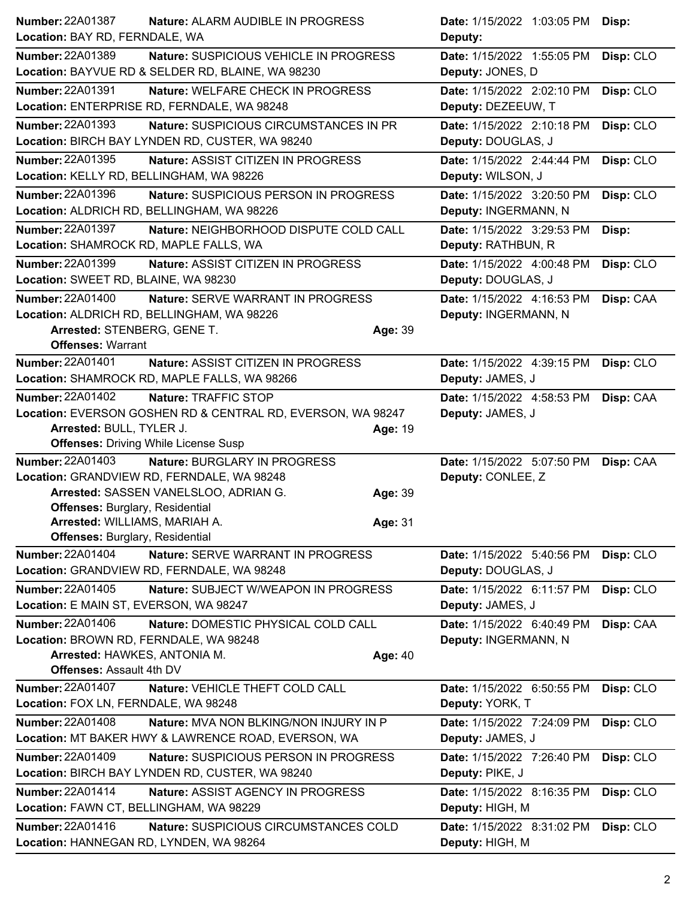| <b>Number: 22A01387</b><br>Nature: ALARM AUDIBLE IN PROGRESS                                           |         | <b>Date: 1/15/2022 1:03:05 PM</b>                | Disp:     |
|--------------------------------------------------------------------------------------------------------|---------|--------------------------------------------------|-----------|
| Location: BAY RD, FERNDALE, WA                                                                         |         | Deputy:                                          |           |
| Number: 22A01389<br>Nature: SUSPICIOUS VEHICLE IN PROGRESS                                             |         | Date: 1/15/2022 1:55:05 PM                       | Disp: CLO |
| Location: BAYVUE RD & SELDER RD, BLAINE, WA 98230                                                      |         | Deputy: JONES, D                                 |           |
| <b>Number: 22A01391</b><br>Nature: WELFARE CHECK IN PROGRESS                                           |         | Date: 1/15/2022 2:02:10 PM                       | Disp: CLO |
| Location: ENTERPRISE RD, FERNDALE, WA 98248                                                            |         | Deputy: DEZEEUW, T                               |           |
| <b>Number: 22A01393</b><br>Nature: SUSPICIOUS CIRCUMSTANCES IN PR                                      |         | Date: 1/15/2022 2:10:18 PM                       | Disp: CLO |
| Location: BIRCH BAY LYNDEN RD, CUSTER, WA 98240                                                        |         | Deputy: DOUGLAS, J                               |           |
| Number: 22A01395<br>Nature: ASSIST CITIZEN IN PROGRESS                                                 |         | Date: 1/15/2022 2:44:44 PM                       | Disp: CLO |
| Location: KELLY RD, BELLINGHAM, WA 98226                                                               |         | Deputy: WILSON, J                                |           |
| Number: 22A01396<br>Nature: SUSPICIOUS PERSON IN PROGRESS                                              |         | Date: 1/15/2022 3:20:50 PM                       | Disp: CLO |
| Location: ALDRICH RD, BELLINGHAM, WA 98226                                                             |         | Deputy: INGERMANN, N                             |           |
| <b>Number: 22A01397</b><br>Nature: NEIGHBORHOOD DISPUTE COLD CALL                                      |         | Date: 1/15/2022 3:29:53 PM                       | Disp:     |
| Location: SHAMROCK RD, MAPLE FALLS, WA                                                                 |         | Deputy: RATHBUN, R                               |           |
| Number: 22A01399<br>Nature: ASSIST CITIZEN IN PROGRESS                                                 |         | Date: 1/15/2022 4:00:48 PM                       | Disp: CLO |
| Location: SWEET RD, BLAINE, WA 98230                                                                   |         | Deputy: DOUGLAS, J                               |           |
| <b>Number: 22A01400</b><br><b>Nature: SERVE WARRANT IN PROGRESS</b>                                    |         | Date: 1/15/2022 4:16:53 PM                       | Disp: CAA |
| Location: ALDRICH RD, BELLINGHAM, WA 98226                                                             |         | Deputy: INGERMANN, N                             |           |
| Arrested: STENBERG, GENE T.                                                                            | Age: 39 |                                                  |           |
| <b>Offenses: Warrant</b>                                                                               |         |                                                  |           |
| <b>Number: 22A01401</b><br>Nature: ASSIST CITIZEN IN PROGRESS                                          |         | Date: 1/15/2022 4:39:15 PM                       | Disp: CLO |
| Location: SHAMROCK RD, MAPLE FALLS, WA 98266                                                           |         | Deputy: JAMES, J                                 |           |
| <b>Number: 22A01402</b><br>Nature: TRAFFIC STOP                                                        |         | Date: 1/15/2022 4:58:53 PM                       | Disp: CAA |
| Location: EVERSON GOSHEN RD & CENTRAL RD, EVERSON, WA 98247                                            |         | Deputy: JAMES, J                                 |           |
|                                                                                                        |         |                                                  |           |
| Arrested: BULL, TYLER J.                                                                               | Age: 19 |                                                  |           |
| <b>Offenses: Driving While License Susp</b>                                                            |         |                                                  |           |
| <b>Number: 22A01403</b><br>Nature: BURGLARY IN PROGRESS                                                |         | Date: 1/15/2022 5:07:50 PM                       | Disp: CAA |
| Location: GRANDVIEW RD, FERNDALE, WA 98248                                                             |         | Deputy: CONLEE, Z                                |           |
| Arrested: SASSEN VANELSLOO, ADRIAN G.                                                                  | Age: 39 |                                                  |           |
| <b>Offenses: Burglary, Residential</b>                                                                 |         |                                                  |           |
| Arrested: WILLIAMS, MARIAH A.                                                                          | Age: 31 |                                                  |           |
| <b>Offenses: Burglary, Residential</b><br><b>Number: 22A01404</b><br>Nature: SERVE WARRANT IN PROGRESS |         |                                                  |           |
|                                                                                                        |         | Date: 1/15/2022 5:40:56 PM<br>Deputy: DOUGLAS, J | Disp: CLO |
| Location: GRANDVIEW RD, FERNDALE, WA 98248                                                             |         |                                                  |           |
| Number: 22A01405<br>Nature: SUBJECT W/WEAPON IN PROGRESS<br>Location: E MAIN ST, EVERSON, WA 98247     |         | Date: 1/15/2022 6:11:57 PM<br>Deputy: JAMES, J   | Disp: CLO |
| Number: 22A01406<br>Nature: DOMESTIC PHYSICAL COLD CALL                                                |         |                                                  |           |
| Location: BROWN RD, FERNDALE, WA 98248                                                                 |         | Date: 1/15/2022 6:40:49 PM                       | Disp: CAA |
| Arrested: HAWKES, ANTONIA M.                                                                           | Age: 40 | Deputy: INGERMANN, N                             |           |
| <b>Offenses: Assault 4th DV</b>                                                                        |         |                                                  |           |
| <b>Number: 22A01407</b><br>Nature: VEHICLE THEFT COLD CALL                                             |         | Date: 1/15/2022 6:50:55 PM                       | Disp: CLO |
| Location: FOX LN, FERNDALE, WA 98248                                                                   |         | Deputy: YORK, T                                  |           |
| <b>Number: 22A01408</b><br>Nature: MVA NON BLKING/NON INJURY IN P                                      |         | Date: 1/15/2022 7:24:09 PM                       | Disp: CLO |
| Location: MT BAKER HWY & LAWRENCE ROAD, EVERSON, WA                                                    |         | Deputy: JAMES, J                                 |           |
| <b>Number: 22A01409</b><br><b>Nature: SUSPICIOUS PERSON IN PROGRESS</b>                                |         | Date: 1/15/2022 7:26:40 PM                       | Disp: CLO |
| Location: BIRCH BAY LYNDEN RD, CUSTER, WA 98240                                                        |         | Deputy: PIKE, J                                  |           |
| Number: 22A01414<br>Nature: ASSIST AGENCY IN PROGRESS                                                  |         | Date: 1/15/2022 8:16:35 PM                       | Disp: CLO |
| Location: FAWN CT, BELLINGHAM, WA 98229                                                                |         | Deputy: HIGH, M                                  |           |
| Number: 22A01416<br>Nature: SUSPICIOUS CIRCUMSTANCES COLD                                              |         | Date: 1/15/2022 8:31:02 PM                       | Disp: CLO |